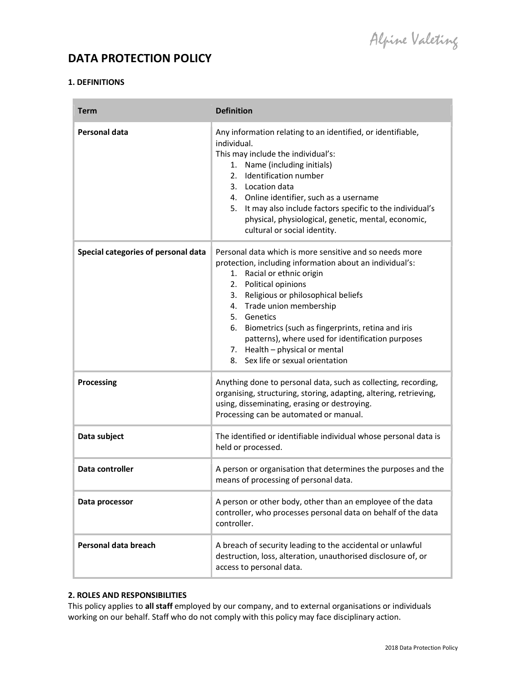# DATA PROTECTION POLICY

# 1. DEFINITIONS

Î.

| <b>Term</b>                         | <b>Definition</b>                                                                                                                                                                                                                                                                                                                                                                                                                                   |  |
|-------------------------------------|-----------------------------------------------------------------------------------------------------------------------------------------------------------------------------------------------------------------------------------------------------------------------------------------------------------------------------------------------------------------------------------------------------------------------------------------------------|--|
| Personal data                       | Any information relating to an identified, or identifiable,<br>individual.<br>This may include the individual's:<br>1. Name (including initials)<br>Identification number<br>2.<br>3. Location data<br>4. Online identifier, such as a username<br>5. It may also include factors specific to the individual's<br>physical, physiological, genetic, mental, economic,<br>cultural or social identity.                                               |  |
| Special categories of personal data | Personal data which is more sensitive and so needs more<br>protection, including information about an individual's:<br>1. Racial or ethnic origin<br>2. Political opinions<br>3. Religious or philosophical beliefs<br>4. Trade union membership<br>5. Genetics<br>6. Biometrics (such as fingerprints, retina and iris<br>patterns), where used for identification purposes<br>7. Health - physical or mental<br>8. Sex life or sexual orientation |  |
| <b>Processing</b>                   | Anything done to personal data, such as collecting, recording,<br>organising, structuring, storing, adapting, altering, retrieving,<br>using, disseminating, erasing or destroying.<br>Processing can be automated or manual.                                                                                                                                                                                                                       |  |
| Data subject                        | The identified or identifiable individual whose personal data is<br>held or processed.                                                                                                                                                                                                                                                                                                                                                              |  |
| Data controller                     | A person or organisation that determines the purposes and the<br>means of processing of personal data.                                                                                                                                                                                                                                                                                                                                              |  |
| Data processor                      | A person or other body, other than an employee of the data<br>controller, who processes personal data on behalf of the data<br>controller.                                                                                                                                                                                                                                                                                                          |  |
| Personal data breach                | A breach of security leading to the accidental or unlawful<br>destruction, loss, alteration, unauthorised disclosure of, or<br>access to personal data.                                                                                                                                                                                                                                                                                             |  |

# 2. ROLES AND RESPONSIBILITIES

This policy applies to all staff employed by our company, and to external organisations or individuals working on our behalf. Staff who do not comply with this policy may face disciplinary action.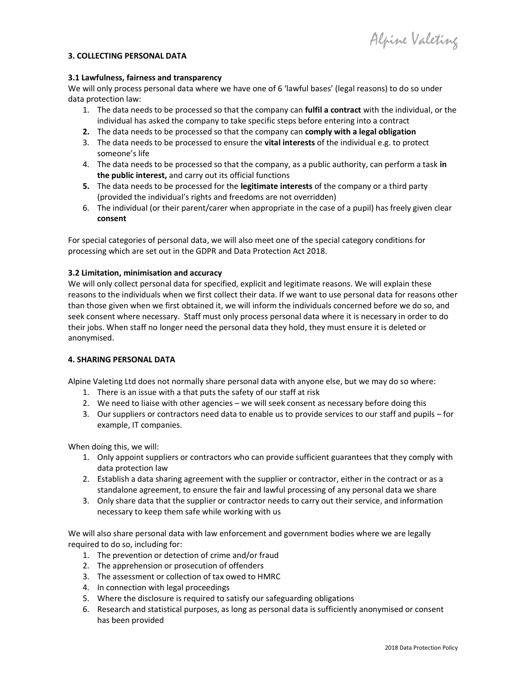Alpine Valeting

## 3. COLLECTING PERSONAL DATA

#### 3.1 Lawfulness, fairness and transparency

We will only process personal data where we have one of 6 'lawful bases' (legal reasons) to do so under data protection law:

- 1. The data needs to be processed so that the company can fulfil a contract with the individual, or the individual has asked the company to take specific steps before entering into a contract
- 2. The data needs to be processed so that the company can comply with a legal obligation
- 3. The data needs to be processed to ensure the **vital interests** of the individual e.g. to protect someone's life
- 4. The data needs to be processed so that the company, as a public authority, can perform a task in the public interest, and carry out its official functions
- 5. The data needs to be processed for the legitimate interests of the company or a third party (provided the individual's rights and freedoms are not overridden)
- 6. The individual (or their parent/carer when appropriate in the case of a pupil) has freely given clear consent

For special categories of personal data, we will also meet one of the special category conditions for processing which are set out in the GDPR and Data Protection Act 2018.

#### 3.2 Limitation, minimisation and accuracy

We will only collect personal data for specified, explicit and legitimate reasons. We will explain these reasons to the individuals when we first collect their data. If we want to use personal data for reasons other than those given when we first obtained it, we will inform the individuals concerned before we do so, and seek consent where necessary. Staff must only process personal data where it is necessary in order to do their jobs. When staff no longer need the personal data they hold, they must ensure it is deleted or anonymised.

# 4. SHARING PERSONAL DATA

Alpine Valeting Ltd does not normally share personal data with anyone else, but we may do so where:

- 1. There is an issue with a that puts the safety of our staff at risk
- 2. We need to liaise with other agencies we will seek consent as necessary before doing this
- 3. Our suppliers or contractors need data to enable us to provide services to our staff and pupils for example, IT companies.

When doing this, we will:

- 1. Only appoint suppliers or contractors who can provide sufficient guarantees that they comply with data protection law
- 2. Establish a data sharing agreement with the supplier or contractor, either in the contract or as a standalone agreement, to ensure the fair and lawful processing of any personal data we share
- 3. Only share data that the supplier or contractor needs to carry out their service, and information necessary to keep them safe while working with us

We will also share personal data with law enforcement and government bodies where we are legally required to do so, including for:

- 1. The prevention or detection of crime and/or fraud
- 2. The apprehension or prosecution of offenders
- 3. The assessment or collection of tax owed to HMRC
- 4. In connection with legal proceedings
- 5. Where the disclosure is required to satisfy our safeguarding obligations
- 6. Research and statistical purposes, as long as personal data is sufficiently anonymised or consent has been provided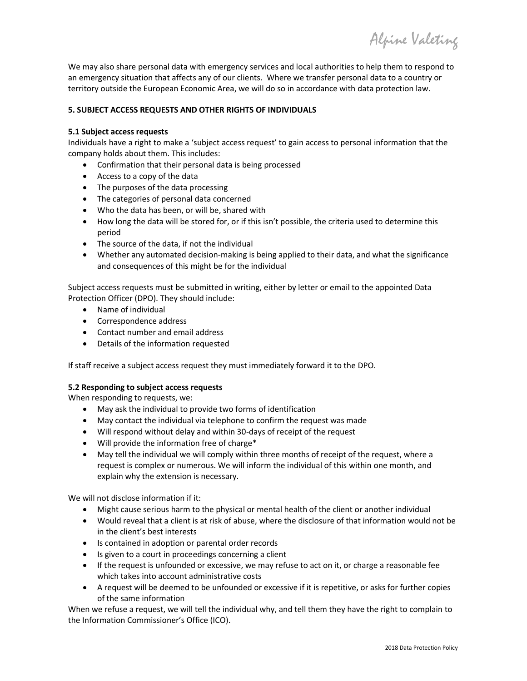Alpine Valeting

We may also share personal data with emergency services and local authorities to help them to respond to an emergency situation that affects any of our clients. Where we transfer personal data to a country or territory outside the European Economic Area, we will do so in accordance with data protection law.

# 5. SUBJECT ACCESS REQUESTS AND OTHER RIGHTS OF INDIVIDUALS

# 5.1 Subject access requests

Individuals have a right to make a 'subject access request' to gain access to personal information that the company holds about them. This includes:

- Confirmation that their personal data is being processed
- Access to a copy of the data
- The purposes of the data processing
- The categories of personal data concerned
- Who the data has been, or will be, shared with
- How long the data will be stored for, or if this isn't possible, the criteria used to determine this period
- The source of the data, if not the individual
- Whether any automated decision-making is being applied to their data, and what the significance and consequences of this might be for the individual

Subject access requests must be submitted in writing, either by letter or email to the appointed Data Protection Officer (DPO). They should include:

- Name of individual
- Correspondence address
- Contact number and email address
- Details of the information requested

If staff receive a subject access request they must immediately forward it to the DPO.

# 5.2 Responding to subject access requests

When responding to requests, we:

- May ask the individual to provide two forms of identification
- May contact the individual via telephone to confirm the request was made
- Will respond without delay and within 30-days of receipt of the request
- Will provide the information free of charge\*
- May tell the individual we will comply within three months of receipt of the request, where a request is complex or numerous. We will inform the individual of this within one month, and explain why the extension is necessary.

We will not disclose information if it:

- Might cause serious harm to the physical or mental health of the client or another individual
- Would reveal that a client is at risk of abuse, where the disclosure of that information would not be in the client's best interests
- Is contained in adoption or parental order records
- Is given to a court in proceedings concerning a client
- If the request is unfounded or excessive, we may refuse to act on it, or charge a reasonable fee which takes into account administrative costs
- A request will be deemed to be unfounded or excessive if it is repetitive, or asks for further copies of the same information

When we refuse a request, we will tell the individual why, and tell them they have the right to complain to the Information Commissioner's Office (ICO).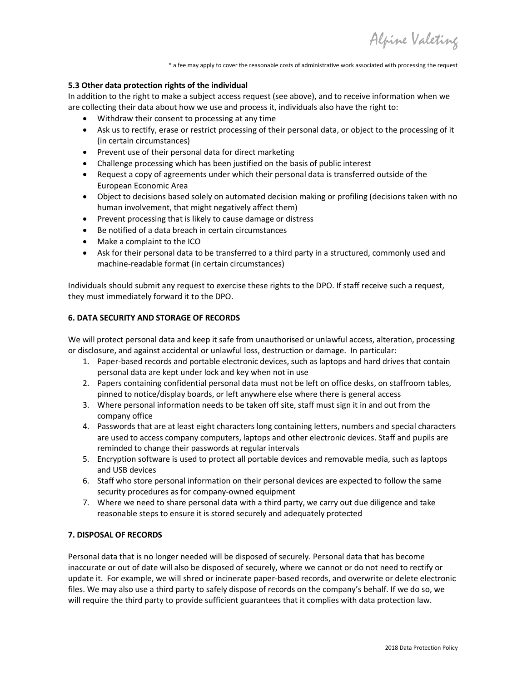Alpine Valeting

\* a fee may apply to cover the reasonable costs of administrative work associated with processing the request

### 5.3 Other data protection rights of the individual

In addition to the right to make a subject access request (see above), and to receive information when we are collecting their data about how we use and process it, individuals also have the right to:

- Withdraw their consent to processing at any time
- Ask us to rectify, erase or restrict processing of their personal data, or object to the processing of it (in certain circumstances)
- Prevent use of their personal data for direct marketing
- Challenge processing which has been justified on the basis of public interest
- Request a copy of agreements under which their personal data is transferred outside of the European Economic Area
- Object to decisions based solely on automated decision making or profiling (decisions taken with no human involvement, that might negatively affect them)
- Prevent processing that is likely to cause damage or distress
- Be notified of a data breach in certain circumstances
- Make a complaint to the ICO
- Ask for their personal data to be transferred to a third party in a structured, commonly used and machine-readable format (in certain circumstances)

Individuals should submit any request to exercise these rights to the DPO. If staff receive such a request, they must immediately forward it to the DPO.

#### 6. DATA SECURITY AND STORAGE OF RECORDS

We will protect personal data and keep it safe from unauthorised or unlawful access, alteration, processing or disclosure, and against accidental or unlawful loss, destruction or damage. In particular:

- 1. Paper-based records and portable electronic devices, such as laptops and hard drives that contain personal data are kept under lock and key when not in use
- 2. Papers containing confidential personal data must not be left on office desks, on staffroom tables, pinned to notice/display boards, or left anywhere else where there is general access
- 3. Where personal information needs to be taken off site, staff must sign it in and out from the company office
- 4. Passwords that are at least eight characters long containing letters, numbers and special characters are used to access company computers, laptops and other electronic devices. Staff and pupils are reminded to change their passwords at regular intervals
- 5. Encryption software is used to protect all portable devices and removable media, such as laptops and USB devices
- 6. Staff who store personal information on their personal devices are expected to follow the same security procedures as for company-owned equipment
- 7. Where we need to share personal data with a third party, we carry out due diligence and take reasonable steps to ensure it is stored securely and adequately protected

#### 7. DISPOSAL OF RECORDS

Personal data that is no longer needed will be disposed of securely. Personal data that has become inaccurate or out of date will also be disposed of securely, where we cannot or do not need to rectify or update it. For example, we will shred or incinerate paper-based records, and overwrite or delete electronic files. We may also use a third party to safely dispose of records on the company's behalf. If we do so, we will require the third party to provide sufficient guarantees that it complies with data protection law.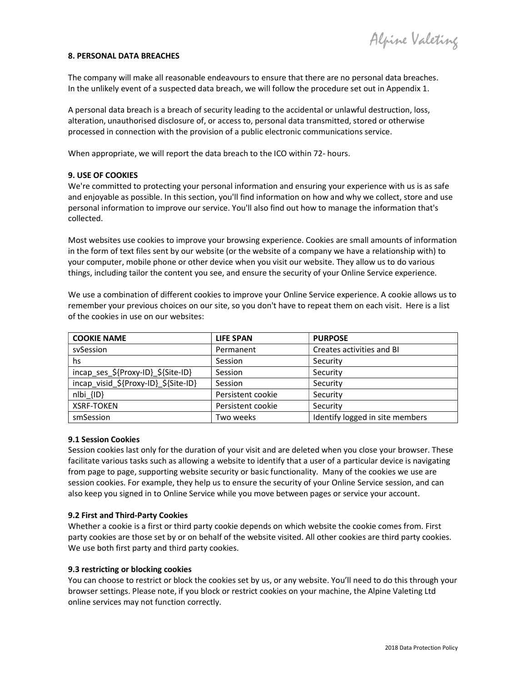#### 8. PERSONAL DATA BREACHES

The company will make all reasonable endeavours to ensure that there are no personal data breaches. In the unlikely event of a suspected data breach, we will follow the procedure set out in Appendix 1.

A personal data breach is a breach of security leading to the accidental or unlawful destruction, loss, alteration, unauthorised disclosure of, or access to, personal data transmitted, stored or otherwise processed in connection with the provision of a public electronic communications service.

When appropriate, we will report the data breach to the ICO within 72- hours.

## 9. USE OF COOKIES

We're committed to protecting your personal information and ensuring your experience with us is as safe and enjoyable as possible. In this section, you'll find information on how and why we collect, store and use personal information to improve our service. You'll also find out how to manage the information that's collected.

Most websites use cookies to improve your browsing experience. Cookies are small amounts of information in the form of text files sent by our website (or the website of a company we have a relationship with) to your computer, mobile phone or other device when you visit our website. They allow us to do various things, including tailor the content you see, and ensure the security of your Online Service experience.

We use a combination of different cookies to improve your Online Service experience. A cookie allows us to remember your previous choices on our site, so you don't have to repeat them on each visit. Here is a list of the cookies in use on our websites:

| <b>COOKIE NAME</b>                   | <b>LIFE SPAN</b>  | <b>PURPOSE</b>                  |
|--------------------------------------|-------------------|---------------------------------|
| sySession                            | Permanent         | Creates activities and BI       |
| hs                                   | Session           | Security                        |
| incap_ses_\${Proxy-ID}_\${Site-ID}   | Session           | Security                        |
| incap visid \${Proxy-ID} \${Site-ID} | Session           | Security                        |
| nlbi {ID}                            | Persistent cookie | Security                        |
| <b>XSRF-TOKEN</b>                    | Persistent cookie | Security                        |
| smSession                            | Two weeks         | Identify logged in site members |

#### 9.1 Session Cookies

Session cookies last only for the duration of your visit and are deleted when you close your browser. These facilitate various tasks such as allowing a website to identify that a user of a particular device is navigating from page to page, supporting website security or basic functionality. Many of the cookies we use are session cookies. For example, they help us to ensure the security of your Online Service session, and can also keep you signed in to Online Service while you move between pages or service your account.

#### 9.2 First and Third-Party Cookies

Whether a cookie is a first or third party cookie depends on which website the cookie comes from. First party cookies are those set by or on behalf of the website visited. All other cookies are third party cookies. We use both first party and third party cookies.

#### 9.3 restricting or blocking cookies

You can choose to restrict or block the cookies set by us, or any website. You'll need to do this through your browser settings. Please note, if you block or restrict cookies on your machine, the Alpine Valeting Ltd online services may not function correctly.